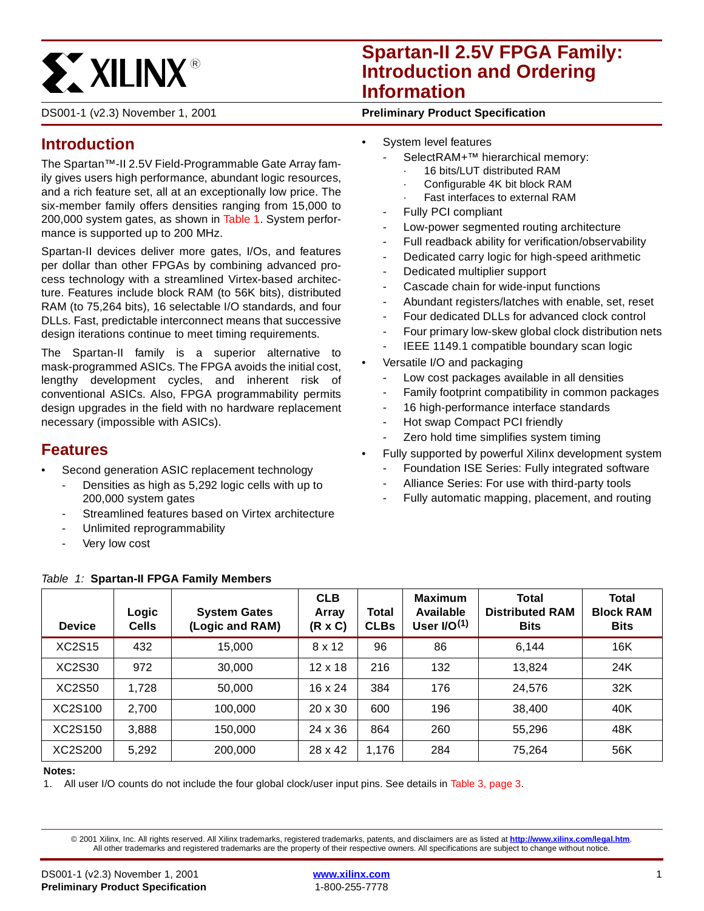

# **Spartan-II 2.5V FPGA Family: Introduction and Ordering Information**

DS001-1 (v2.3) November 1, 2001 **0 0 Preliminary Product Specification**

# **Introduction**

The Spartan™-II 2.5V Field-Programmable Gate Array family gives users high performance, abundant logic resources, and a rich feature set, all at an exceptionally low price. The six-member family offers densities ranging from 15,000 to 200,000 system gates, as shown in [Table 1](#page-0-0). System performance is supported up to 200 MHz.

Spartan-II devices deliver more gates, I/Os, and features per dollar than other FPGAs by combining advanced process technology with a streamlined Virtex-based architecture. Features include block RAM (to 56K bits), distributed RAM (to 75,264 bits), 16 selectable I/O standards, and four DLLs. Fast, predictable interconnect means that successive design iterations continue to meet timing requirements.

The Spartan-II family is a superior alternative to mask-programmed ASICs. The FPGA avoids the initial cost, lengthy development cycles, and inherent risk of conventional ASICs. Also, FPGA programmability permits design upgrades in the field with no hardware replacement necessary (impossible with ASICs).

# **Features**

- Second generation ASIC replacement technology
	- Densities as high as 5,292 logic cells with up to 200,000 system gates
	- Streamlined features based on Virtex architecture
	- Unlimited reprogrammability
	- Very low cost
- System level features
	- SelectRAM+™ hierarchical memory:
		- 16 bits/LUT distributed RAM
		- Configurable 4K bit block RAM
		- Fast interfaces to external RAM
	- Fully PCI compliant
	- Low-power segmented routing architecture
	- Full readback ability for verification/observability
	- Dedicated carry logic for high-speed arithmetic
	- Dedicated multiplier support
	- Cascade chain for wide-input functions
	- Abundant registers/latches with enable, set, reset
	- Four dedicated DLLs for advanced clock control
	- Four primary low-skew global clock distribution nets
	- IEEE 1149.1 compatible boundary scan logic
	- Versatile I/O and packaging
		- Low cost packages available in all densities
		- Family footprint compatibility in common packages
		- 16 high-performance interface standards
		- Hot swap Compact PCI friendly
		- Zero hold time simplifies system timing
		- Fully supported by powerful Xilinx development system
		- Foundation ISE Series: Fully integrated software
		- Alliance Series: For use with third-party tools
		- Fully automatic mapping, placement, and routing

| <b>Device</b> | Logic<br><b>Cells</b> | <b>System Gates</b><br>(Logic and RAM) | <b>CLB</b><br>Array<br>(R x C) | <b>Total</b><br><b>CLBs</b> | <b>Maximum</b><br>Available<br>User $I/O(1)$ | <b>Total</b><br><b>Distributed RAM</b><br><b>Bits</b> | Total<br><b>Block RAM</b><br><b>Bits</b> |
|---------------|-----------------------|----------------------------------------|--------------------------------|-----------------------------|----------------------------------------------|-------------------------------------------------------|------------------------------------------|
| <b>XC2S15</b> | 432                   | 15,000                                 | 8 x 12                         | 96                          | 86                                           | 6.144                                                 | 16K                                      |
| XC2S30        | 972                   | 30,000                                 | $12 \times 18$                 | 216                         | 132                                          | 13,824                                                | 24K                                      |
| <b>XC2S50</b> | 1,728                 | 50,000                                 | $16 \times 24$                 | 384                         | 176                                          | 24,576                                                | 32K                                      |
| XC2S100       | 2,700                 | 100.000                                | 20 x 30                        | 600                         | 196                                          | 38.400                                                | 40K                                      |
| XC2S150       | 3,888                 | 150,000                                | 24 x 36                        | 864                         | 260                                          | 55,296                                                | 48K                                      |
| XC2S200       | 5,292                 | 200,000                                | 28 x 42                        | 1,176                       | 284                                          | 75,264                                                | 56K                                      |

### <span id="page-0-0"></span>Table 1: **Spartan-II FPGA Family Members**

#### **Notes:**

1. All user I/O counts do not include the four global clock/user input pins. See details in [Table 3, page 3](#page-2-0).

© 2001 Xilinx, Inc. All rights reserved. All Xilinx trademarks, registered trademarks, patents, and disclaimers are as listed at **<http://www.xilinx.com/legal.htm>**. All other trademarks and registered trademarks are the property of their respective owners. All specifications are subject to change without notice.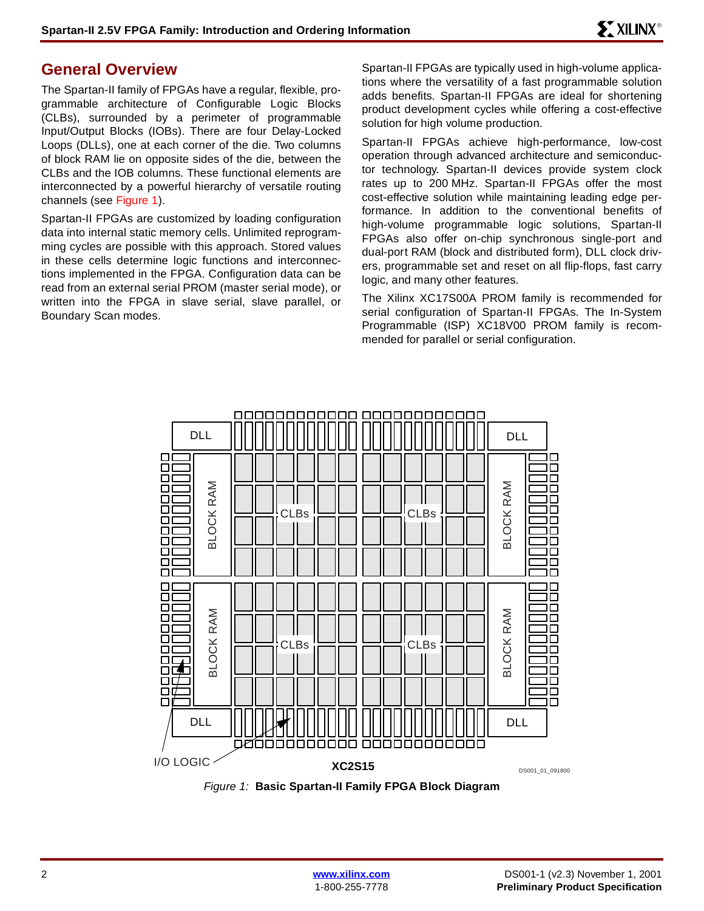## **General Overview**

The Spartan-II family of FPGAs have a regular, flexible, programmable architecture of Configurable Logic Blocks (CLBs), surrounded by a perimeter of programmable Input/Output Blocks (IOBs). There are four Delay-Locked Loops (DLLs), one at each corner of the die. Two columns of block RAM lie on opposite sides of the die, between the CLBs and the IOB columns. These functional elements are interconnected by a powerful hierarchy of versatile routing channels (see [Figure 1\)](#page-1-0).

Spartan-II FPGAs are customized by loading configuration data into internal static memory cells. Unlimited reprogramming cycles are possible with this approach. Stored values in these cells determine logic functions and interconnections implemented in the FPGA. Configuration data can be read from an external serial PROM (master serial mode), or written into the FPGA in slave serial, slave parallel, or Boundary Scan modes.

Spartan-II FPGAs are typically used in high-volume applications where the versatility of a fast programmable solution adds benefits. Spartan-II FPGAs are ideal for shortening product development cycles while offering a cost-effective solution for high volume production.

Spartan-II FPGAs achieve high-performance, low-cost operation through advanced architecture and semiconductor technology. Spartan-II devices provide system clock rates up to 200 MHz. Spartan-II FPGAs offer the most cost-effective solution while maintaining leading edge performance. In addition to the conventional benefits of high-volume programmable logic solutions, Spartan-II FPGAs also offer on-chip synchronous single-port and dual-port RAM (block and distributed form), DLL clock drivers, programmable set and reset on all flip-flops, fast carry logic, and many other features.

The Xilinx XC17S00A PROM family is recommended for serial configuration of Spartan-II FPGAs. The In-System Programmable (ISP) XC18V00 PROM family is recommended for parallel or serial configuration.



<span id="page-1-0"></span>Figure 1: **Basic Spartan-II Family FPGA Block Diagram**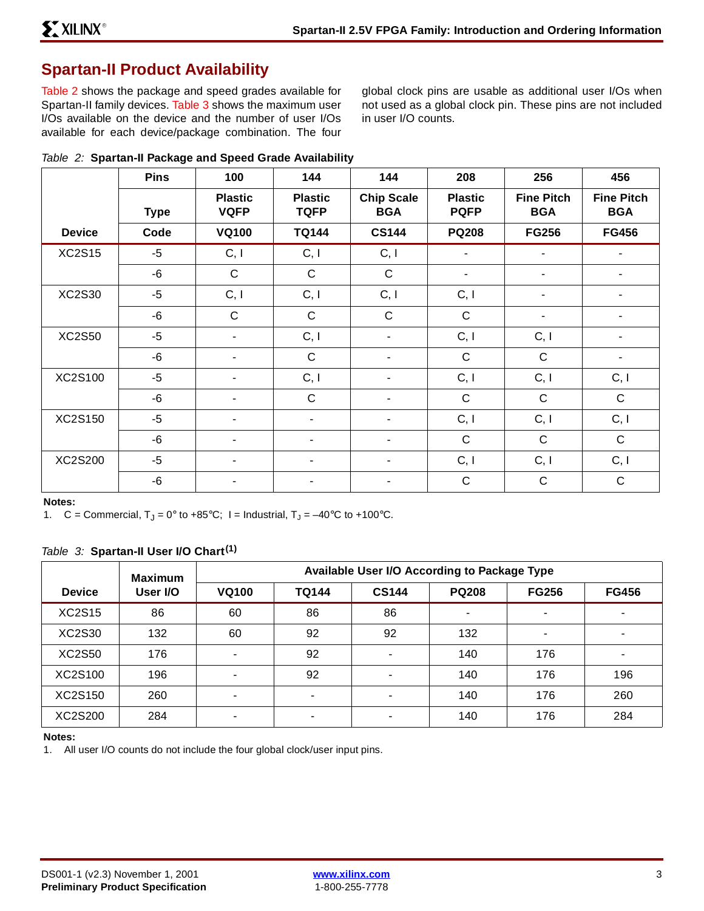# **Spartan-II Product Availability**

[Table 2](#page-2-1) shows the package and speed grades available for Spartan-II family devices. [Table 3](#page-2-0) shows the maximum user I/Os available on the device and the number of user I/Os available for each device/package combination. The four global clock pins are usable as additional user I/Os when not used as a global clock pin. These pins are not included in user I/O counts.

<span id="page-2-1"></span>

|  |  |  | Table 2: Spartan-II Package and Speed Grade Availability |
|--|--|--|----------------------------------------------------------|
|  |  |  |                                                          |

|               | <b>Pins</b> | 100                           | 144                           | 144                             | 208                           | 256                             | 456                             |
|---------------|-------------|-------------------------------|-------------------------------|---------------------------------|-------------------------------|---------------------------------|---------------------------------|
|               | <b>Type</b> | <b>Plastic</b><br><b>VQFP</b> | <b>Plastic</b><br><b>TQFP</b> | <b>Chip Scale</b><br><b>BGA</b> | <b>Plastic</b><br><b>PQFP</b> | <b>Fine Pitch</b><br><b>BGA</b> | <b>Fine Pitch</b><br><b>BGA</b> |
| <b>Device</b> | Code        | <b>VQ100</b>                  | <b>TQ144</b>                  | <b>CS144</b>                    | <b>PQ208</b>                  | <b>FG256</b>                    | <b>FG456</b>                    |
| <b>XC2S15</b> | -5          | C, I                          | C, I                          | C, I                            | ۰                             | $\overline{\phantom{a}}$        |                                 |
|               | $-6$        | $\mathsf C$                   | $\mathbf C$                   | $\mathbf C$                     | ۰                             | -                               | -                               |
| <b>XC2S30</b> | $-5$        | C, I                          | C, I                          | C, I                            | C, I                          | -                               |                                 |
|               | $-6$        | $\mathsf{C}$                  | $\mathbf C$                   | $\mathsf{C}$                    | $\mathsf{C}$                  | -                               |                                 |
| <b>XC2S50</b> | $-5$        | $\blacksquare$                | C, I                          | ۰                               | C, I                          | C, I                            |                                 |
|               | -6          | ۰                             | $\mathbf C$                   | ۰                               | $\mathsf{C}$                  | $\mathbf C$                     |                                 |
| XC2S100       | $-5$        | $\blacksquare$                | C, I                          | ۰                               | C, I                          | C, I                            | C, I                            |
|               | -6          |                               | $\mathbf C$                   |                                 | $\mathsf{C}$                  | $\mathsf{C}$                    | $\mathbf C$                     |
| XC2S150       | $-5$        | $\blacksquare$                | $\blacksquare$                | ۰                               | C, I                          | C, I                            | C, I                            |
|               | -6          | $\blacksquare$                | $\overline{\phantom{a}}$      | ۰                               | $\mathsf{C}$                  | $\mathsf{C}$                    | $\mathbf C$                     |
| XC2S200       | $-5$        | ۰                             |                               | ۰                               | C, I                          | C, I                            | C, I                            |
|               | -6          |                               |                               |                                 | $\mathbf C$                   | $\mathsf{C}$                    | $\mathbf C$                     |

**Notes:** 

1. C = Commercial,  $T_J = 0^\circ$  to +85°C; I = Industrial,  $T_J = -40^\circ \text{C}$  to +100°C.

### <span id="page-2-0"></span>Table 3: **Spartan-II User I/O Chart(1)**

|               | <b>Maximum</b> | Available User I/O According to Package Type |                          |              |              |                |              |
|---------------|----------------|----------------------------------------------|--------------------------|--------------|--------------|----------------|--------------|
| <b>Device</b> | User I/O       | <b>VQ100</b>                                 | <b>TQ144</b>             | <b>CS144</b> | <b>PQ208</b> | <b>FG256</b>   | <b>FG456</b> |
| <b>XC2S15</b> | 86             | 60                                           | 86                       | 86           |              | ٠              |              |
| XC2S30        | 132            | 60                                           | 92                       | 92           | 132          | $\blacksquare$ |              |
| <b>XC2S50</b> | 176            | $\overline{\phantom{a}}$                     | 92                       |              | 140          | 176            |              |
| XC2S100       | 196            | -                                            | 92                       |              | 140          | 176            | 196          |
| XC2S150       | 260            | $\overline{\phantom{0}}$                     |                          |              | 140          | 176            | 260          |
| XC2S200       | 284            | $\,$                                         | $\overline{\phantom{a}}$ |              | 140          | 176            | 284          |

#### **Notes:**

1. All user I/O counts do not include the four global clock/user input pins.